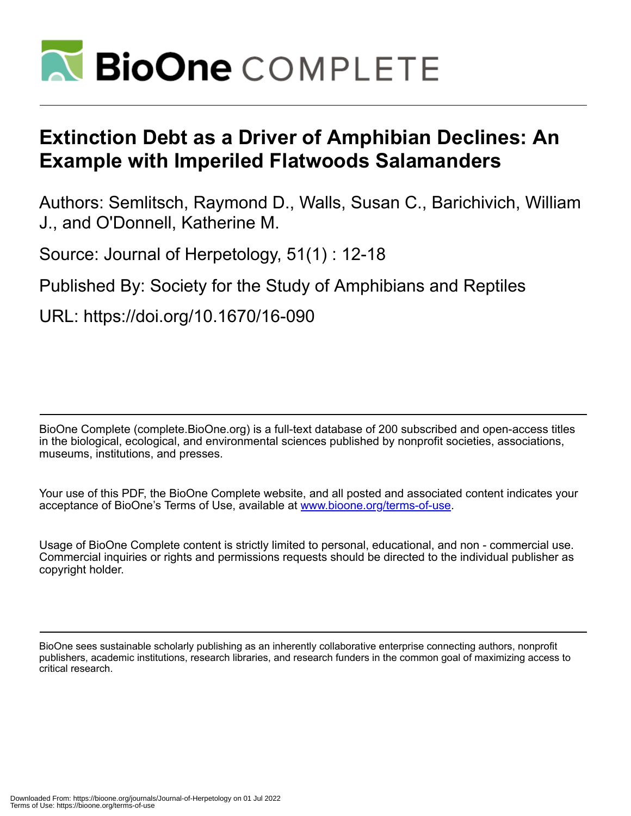

# **Extinction Debt as a Driver of Amphibian Declines: An Example with Imperiled Flatwoods Salamanders**

Authors: Semlitsch, Raymond D., Walls, Susan C., Barichivich, William J., and O'Donnell, Katherine M.

Source: Journal of Herpetology, 51(1) : 12-18

Published By: Society for the Study of Amphibians and Reptiles

URL: https://doi.org/10.1670/16-090

BioOne Complete (complete.BioOne.org) is a full-text database of 200 subscribed and open-access titles in the biological, ecological, and environmental sciences published by nonprofit societies, associations, museums, institutions, and presses.

Your use of this PDF, the BioOne Complete website, and all posted and associated content indicates your acceptance of BioOne's Terms of Use, available at www.bioone.org/terms-of-use.

Usage of BioOne Complete content is strictly limited to personal, educational, and non - commercial use. Commercial inquiries or rights and permissions requests should be directed to the individual publisher as copyright holder.

BioOne sees sustainable scholarly publishing as an inherently collaborative enterprise connecting authors, nonprofit publishers, academic institutions, research libraries, and research funders in the common goal of maximizing access to critical research.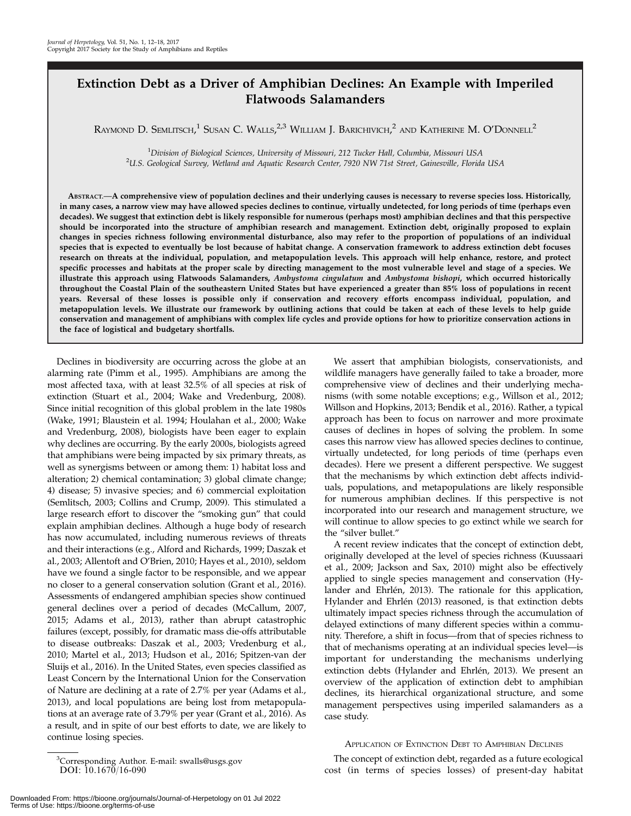# Extinction Debt as a Driver of Amphibian Declines: An Example with Imperiled Flatwoods Salamanders

Raymond D. Semlitsch, $^1$  Susan C. Walls, $^{2,3}$  William J. Barichivich, $^2$  and Katherine M. O'Donnell $^2$ 

<sup>1</sup> Division of Biological Sciences, University of Missouri, 212 Tucker Hall, Columbia, Missouri USA<br><sup>2</sup>U.S. Ceological Survey, Wetland and Aquatic Research Center, 7920 NJM 71st Street, Cainesville, Florid <sup>2</sup>U.S. Geological Survey, Wetland and Aquatic Research Center, 7920 NW 71st Street, Gainesville, Florida USA

ABSTRACT.—A comprehensive view of population declines and their underlying causes is necessary to reverse species loss. Historically, in many cases, a narrow view may have allowed species declines to continue, virtually undetected, for long periods of time (perhaps even decades). We suggest that extinction debt is likely responsible for numerous (perhaps most) amphibian declines and that this perspective should be incorporated into the structure of amphibian research and management. Extinction debt, originally proposed to explain changes in species richness following environmental disturbance, also may refer to the proportion of populations of an individual species that is expected to eventually be lost because of habitat change. A conservation framework to address extinction debt focuses research on threats at the individual, population, and metapopulation levels. This approach will help enhance, restore, and protect specific processes and habitats at the proper scale by directing management to the most vulnerable level and stage of a species. We illustrate this approach using Flatwoods Salamanders, Ambystoma cingulatum and Ambystoma bishopi, which occurred historically throughout the Coastal Plain of the southeastern United States but have experienced a greater than 85% loss of populations in recent years. Reversal of these losses is possible only if conservation and recovery efforts encompass individual, population, and metapopulation levels. We illustrate our framework by outlining actions that could be taken at each of these levels to help guide conservation and management of amphibians with complex life cycles and provide options for how to prioritize conservation actions in the face of logistical and budgetary shortfalls.

Declines in biodiversity are occurring across the globe at an alarming rate (Pimm et al., 1995). Amphibians are among the most affected taxa, with at least 32.5% of all species at risk of extinction (Stuart et al., 2004; Wake and Vredenburg, 2008). Since initial recognition of this global problem in the late 1980s (Wake, 1991; Blaustein et al. 1994; Houlahan et al., 2000; Wake and Vredenburg, 2008), biologists have been eager to explain why declines are occurring. By the early 2000s, biologists agreed that amphibians were being impacted by six primary threats, as well as synergisms between or among them: 1) habitat loss and alteration; 2) chemical contamination; 3) global climate change; 4) disease; 5) invasive species; and 6) commercial exploitation (Semlitsch, 2003; Collins and Crump, 2009). This stimulated a large research effort to discover the ''smoking gun'' that could explain amphibian declines. Although a huge body of research has now accumulated, including numerous reviews of threats and their interactions (e.g., Alford and Richards, 1999; Daszak et al., 2003; Allentoft and O'Brien, 2010; Hayes et al., 2010), seldom have we found a single factor to be responsible, and we appear no closer to a general conservation solution (Grant et al., 2016). Assessments of endangered amphibian species show continued general declines over a period of decades (McCallum, 2007, 2015; Adams et al., 2013), rather than abrupt catastrophic failures (except, possibly, for dramatic mass die-offs attributable to disease outbreaks: Daszak et al., 2003; Vredenburg et al., 2010; Martel et al., 2013; Hudson et al., 2016; Spitzen-van der Sluijs et al., 2016). In the United States, even species classified as Least Concern by the International Union for the Conservation of Nature are declining at a rate of 2.7% per year (Adams et al., 2013), and local populations are being lost from metapopulations at an average rate of 3.79% per year (Grant et al., 2016). As a result, and in spite of our best efforts to date, we are likely to continue losing species.

3 Corresponding Author. E-mail: swalls@usgs.gov DOI: 10.1670/16-090

We assert that amphibian biologists, conservationists, and wildlife managers have generally failed to take a broader, more comprehensive view of declines and their underlying mechanisms (with some notable exceptions; e.g., Willson et al., 2012; Willson and Hopkins, 2013; Bendik et al., 2016). Rather, a typical approach has been to focus on narrower and more proximate causes of declines in hopes of solving the problem. In some cases this narrow view has allowed species declines to continue, virtually undetected, for long periods of time (perhaps even decades). Here we present a different perspective. We suggest that the mechanisms by which extinction debt affects individuals, populations, and metapopulations are likely responsible for numerous amphibian declines. If this perspective is not incorporated into our research and management structure, we will continue to allow species to go extinct while we search for the "silver bullet."

A recent review indicates that the concept of extinction debt, originally developed at the level of species richness (Kuussaari et al., 2009; Jackson and Sax, 2010) might also be effectively applied to single species management and conservation (Hylander and Ehrlén, 2013). The rationale for this application, Hylander and Ehrlén (2013) reasoned, is that extinction debts ultimately impact species richness through the accumulation of delayed extinctions of many different species within a community. Therefore, a shift in focus—from that of species richness to that of mechanisms operating at an individual species level—is important for understanding the mechanisms underlying extinction debts (Hylander and Ehrlén, 2013). We present an overview of the application of extinction debt to amphibian declines, its hierarchical organizational structure, and some management perspectives using imperiled salamanders as a case study.

### APPLICATION OF EXTINCTION DEBT TO AMPHIBIAN DECLINES

The concept of extinction debt, regarded as a future ecological cost (in terms of species losses) of present-day habitat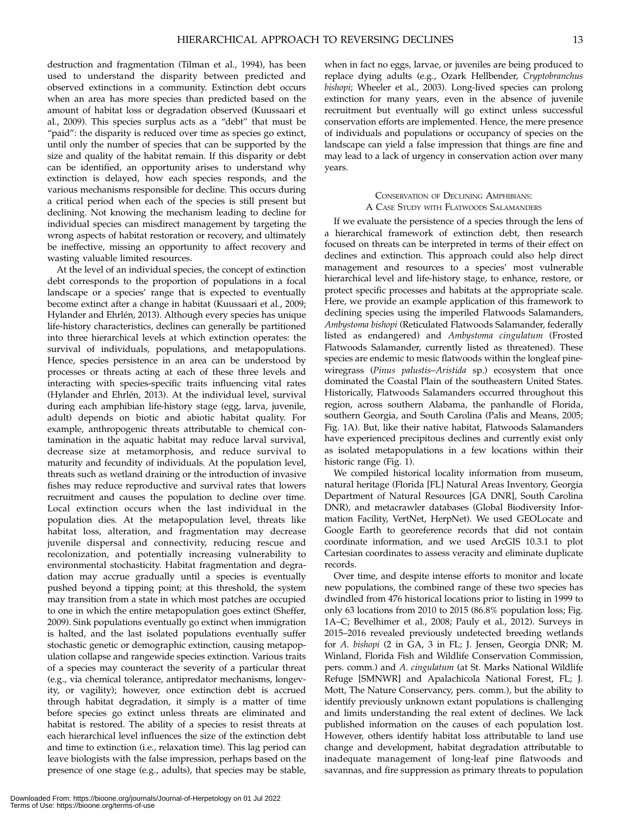destruction and fragmentation (Tilman et al., 1994), has been used to understand the disparity between predicted and observed extinctions in a community. Extinction debt occurs when an area has more species than predicted based on the amount of habitat loss or degradation observed (Kuussaari et al., 2009). This species surplus acts as a ''debt'' that must be "paid": the disparity is reduced over time as species go extinct, until only the number of species that can be supported by the size and quality of the habitat remain. If this disparity or debt can be identified, an opportunity arises to understand why extinction is delayed, how each species responds, and the various mechanisms responsible for decline. This occurs during a critical period when each of the species is still present but declining. Not knowing the mechanism leading to decline for individual species can misdirect management by targeting the wrong aspects of habitat restoration or recovery, and ultimately be ineffective, missing an opportunity to affect recovery and wasting valuable limited resources.

At the level of an individual species, the concept of extinction debt corresponds to the proportion of populations in a focal landscape or a species' range that is expected to eventually become extinct after a change in habitat (Kuussaari et al., 2009; Hylander and Ehrlén, 2013). Although every species has unique life-history characteristics, declines can generally be partitioned into three hierarchical levels at which extinction operates: the survival of individuals, populations, and metapopulations. Hence, species persistence in an area can be understood by processes or threats acting at each of these three levels and interacting with species-specific traits influencing vital rates (Hylander and Ehrlén, 2013). At the individual level, survival during each amphibian life-history stage (egg, larva, juvenile, adult) depends on biotic and abiotic habitat quality. For example, anthropogenic threats attributable to chemical contamination in the aquatic habitat may reduce larval survival, decrease size at metamorphosis, and reduce survival to maturity and fecundity of individuals. At the population level, threats such as wetland draining or the introduction of invasive fishes may reduce reproductive and survival rates that lowers recruitment and causes the population to decline over time. Local extinction occurs when the last individual in the population dies. At the metapopulation level, threats like habitat loss, alteration, and fragmentation may decrease juvenile dispersal and connectivity, reducing rescue and recolonization, and potentially increasing vulnerability to environmental stochasticity. Habitat fragmentation and degradation may accrue gradually until a species is eventually pushed beyond a tipping point; at this threshold, the system may transition from a state in which most patches are occupied to one in which the entire metapopulation goes extinct (Sheffer, 2009). Sink populations eventually go extinct when immigration is halted, and the last isolated populations eventually suffer stochastic genetic or demographic extinction, causing metapopulation collapse and rangewide species extinction. Various traits of a species may counteract the severity of a particular threat (e.g., via chemical tolerance, antipredator mechanisms, longevity, or vagility); however, once extinction debt is accrued through habitat degradation, it simply is a matter of time before species go extinct unless threats are eliminated and habitat is restored. The ability of a species to resist threats at each hierarchical level influences the size of the extinction debt and time to extinction (i.e., relaxation time). This lag period can leave biologists with the false impression, perhaps based on the presence of one stage (e.g., adults), that species may be stable,

when in fact no eggs, larvae, or juveniles are being produced to replace dying adults (e.g., Ozark Hellbender, Cryptobranchus bishopi; Wheeler et al., 2003). Long-lived species can prolong extinction for many years, even in the absence of juvenile recruitment but eventually will go extinct unless successful conservation efforts are implemented. Hence, the mere presence of individuals and populations or occupancy of species on the landscape can yield a false impression that things are fine and may lead to a lack of urgency in conservation action over many years.

# CONSERVATION OF DECLINING AMPHIBIANS: A CASE STUDY WITH FLATWOODS SALAMANDERS

If we evaluate the persistence of a species through the lens of a hierarchical framework of extinction debt, then research focused on threats can be interpreted in terms of their effect on declines and extinction. This approach could also help direct management and resources to a species' most vulnerable hierarchical level and life-history stage, to enhance, restore, or protect specific processes and habitats at the appropriate scale. Here, we provide an example application of this framework to declining species using the imperiled Flatwoods Salamanders, Ambystoma bishopi (Reticulated Flatwoods Salamander, federally listed as endangered) and Ambystoma cingulatum (Frosted Flatwoods Salamander, currently listed as threatened). These species are endemic to mesic flatwoods within the longleaf pinewiregrass (Pinus palustis–Aristida sp.) ecosystem that once dominated the Coastal Plain of the southeastern United States. Historically, Flatwoods Salamanders occurred throughout this region, across southern Alabama, the panhandle of Florida, southern Georgia, and South Carolina (Palis and Means, 2005; Fig. 1A). But, like their native habitat, Flatwoods Salamanders have experienced precipitous declines and currently exist only as isolated metapopulations in a few locations within their historic range (Fig. 1).

We compiled historical locality information from museum, natural heritage (Florida [FL] Natural Areas Inventory, Georgia Department of Natural Resources [GA DNR], South Carolina DNR), and metacrawler databases (Global Biodiversity Information Facility, VertNet, HerpNet). We used GEOLocate and Google Earth to georeference records that did not contain coordinate information, and we used ArcGIS 10.3.1 to plot Cartesian coordinates to assess veracity and eliminate duplicate records.

Over time, and despite intense efforts to monitor and locate new populations, the combined range of these two species has dwindled from 476 historical locations prior to listing in 1999 to only 63 locations from 2010 to 2015 (86.8% population loss; Fig. 1A–C; Bevelhimer et al., 2008; Pauly et al., 2012). Surveys in 2015–2016 revealed previously undetected breeding wetlands for A. bishopi (2 in GA, 3 in FL; J. Jensen, Georgia DNR; M. Winland, Florida Fish and Wildlife Conservation Commission, pers. comm.) and A. cingulatum (at St. Marks National Wildlife Refuge [SMNWR] and Apalachicola National Forest, FL; J. Mott, The Nature Conservancy, pers. comm.), but the ability to identify previously unknown extant populations is challenging and limits understanding the real extent of declines. We lack published information on the causes of each population lost. However, others identify habitat loss attributable to land use change and development, habitat degradation attributable to inadequate management of long-leaf pine flatwoods and savannas, and fire suppression as primary threats to population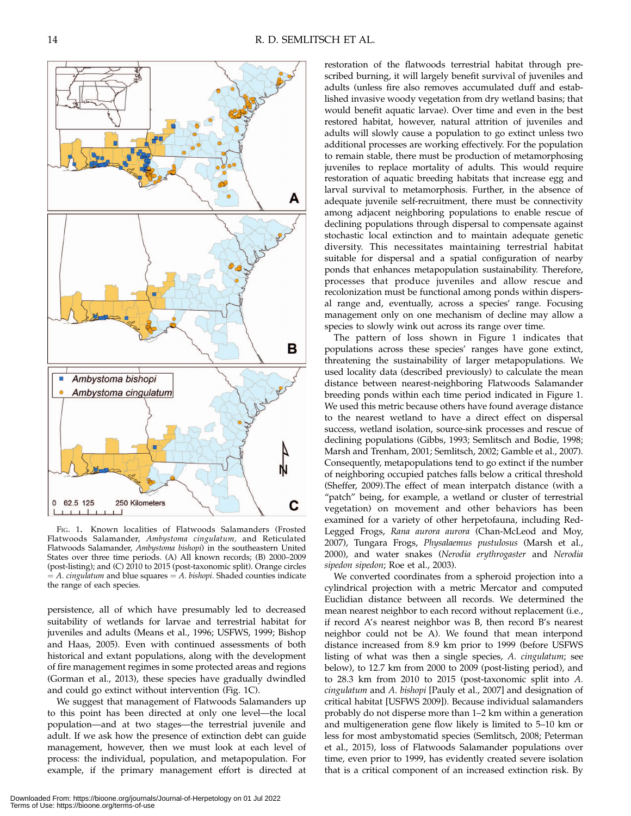

FIG. 1. Known localities of Flatwoods Salamanders (Frosted Flatwoods Salamander, Ambystoma cingulatum, and Reticulated Flatwoods Salamander, Ambystoma bishopi) in the southeastern United States over three time periods. (A) All known records; (B) 2000–2009 (post-listing); and (C) 2010 to 2015 (post-taxonomic split). Orange circles  $=$  A. cingulatum and blue squares  $=$  A. bishopi. Shaded counties indicate the range of each species.

persistence, all of which have presumably led to decreased suitability of wetlands for larvae and terrestrial habitat for juveniles and adults (Means et al., 1996; USFWS, 1999; Bishop and Haas, 2005). Even with continued assessments of both historical and extant populations, along with the development of fire management regimes in some protected areas and regions (Gorman et al., 2013), these species have gradually dwindled and could go extinct without intervention (Fig. 1C).

We suggest that management of Flatwoods Salamanders up to this point has been directed at only one level—the local population—and at two stages—the terrestrial juvenile and adult. If we ask how the presence of extinction debt can guide management, however, then we must look at each level of process: the individual, population, and metapopulation. For example, if the primary management effort is directed at restoration of the flatwoods terrestrial habitat through prescribed burning, it will largely benefit survival of juveniles and adults (unless fire also removes accumulated duff and established invasive woody vegetation from dry wetland basins; that would benefit aquatic larvae). Over time and even in the best restored habitat, however, natural attrition of juveniles and adults will slowly cause a population to go extinct unless two additional processes are working effectively. For the population to remain stable, there must be production of metamorphosing juveniles to replace mortality of adults. This would require restoration of aquatic breeding habitats that increase egg and larval survival to metamorphosis. Further, in the absence of adequate juvenile self-recruitment, there must be connectivity among adjacent neighboring populations to enable rescue of declining populations through dispersal to compensate against stochastic local extinction and to maintain adequate genetic diversity. This necessitates maintaining terrestrial habitat suitable for dispersal and a spatial configuration of nearby ponds that enhances metapopulation sustainability. Therefore, processes that produce juveniles and allow rescue and recolonization must be functional among ponds within dispersal range and, eventually, across a species' range. Focusing management only on one mechanism of decline may allow a species to slowly wink out across its range over time.

The pattern of loss shown in Figure 1 indicates that populations across these species' ranges have gone extinct, threatening the sustainability of larger metapopulations. We used locality data (described previously) to calculate the mean distance between nearest-neighboring Flatwoods Salamander breeding ponds within each time period indicated in Figure 1. We used this metric because others have found average distance to the nearest wetland to have a direct effect on dispersal success, wetland isolation, source-sink processes and rescue of declining populations (Gibbs, 1993; Semlitsch and Bodie, 1998; Marsh and Trenham, 2001; Semlitsch, 2002; Gamble et al., 2007). Consequently, metapopulations tend to go extinct if the number of neighboring occupied patches falls below a critical threshold (Sheffer, 2009).The effect of mean interpatch distance (with a "patch" being, for example, a wetland or cluster of terrestrial vegetation) on movement and other behaviors has been examined for a variety of other herpetofauna, including Red-Legged Frogs, Rana aurora aurora (Chan-McLeod and Moy, 2007), Tungara Frogs, Physalaemus pustulosus (Marsh et al., 2000), and water snakes (Nerodia erythrogaster and Nerodia sipedon sipedon; Roe et al., 2003).

We converted coordinates from a spheroid projection into a cylindrical projection with a metric Mercator and computed Euclidian distance between all records. We determined the mean nearest neighbor to each record without replacement (i.e., if record A's nearest neighbor was B, then record B's nearest neighbor could not be A). We found that mean interpond distance increased from 8.9 km prior to 1999 (before USFWS listing of what was then a single species, A. cingulatum; see below), to 12.7 km from 2000 to 2009 (post-listing period), and to 28.3 km from 2010 to 2015 (post-taxonomic split into A. cingulatum and A. bishopi [Pauly et al., 2007] and designation of critical habitat [USFWS 2009]). Because individual salamanders probably do not disperse more than 1–2 km within a generation and multigeneration gene flow likely is limited to 5–10 km or less for most ambystomatid species (Semlitsch, 2008; Peterman et al., 2015), loss of Flatwoods Salamander populations over time, even prior to 1999, has evidently created severe isolation that is a critical component of an increased extinction risk. By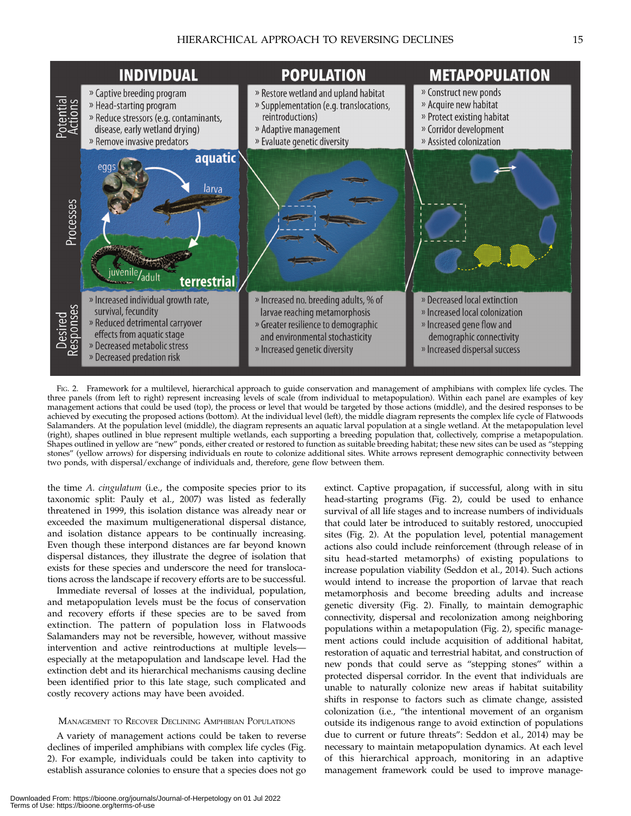

FIG. 2. Framework for a multilevel, hierarchical approach to guide conservation and management of amphibians with complex life cycles. The three panels (from left to right) represent increasing levels of scale (from individual to metapopulation). Within each panel are examples of key management actions that could be used (top), the process or level that would be targeted by those actions (middle), and the desired responses to be achieved by executing the proposed actions (bottom). At the individual level (left), the middle diagram represents the complex life cycle of Flatwoods Salamanders. At the population level (middle), the diagram represents an aquatic larval population at a single wetland. At the metapopulation level (right), shapes outlined in blue represent multiple wetlands, each supporting a breeding population that, collectively, comprise a metapopulation. Shapes outlined in yellow are ''new'' ponds, either created or restored to function as suitable breeding habitat; these new sites can be used as ''stepping stones'' (yellow arrows) for dispersing individuals en route to colonize additional sites. White arrows represent demographic connectivity between two ponds, with dispersal/exchange of individuals and, therefore, gene flow between them.

the time A. cingulatum (i.e., the composite species prior to its taxonomic split: Pauly et al., 2007) was listed as federally threatened in 1999, this isolation distance was already near or exceeded the maximum multigenerational dispersal distance, and isolation distance appears to be continually increasing. Even though these interpond distances are far beyond known dispersal distances, they illustrate the degree of isolation that exists for these species and underscore the need for translocations across the landscape if recovery efforts are to be successful.

Immediate reversal of losses at the individual, population, and metapopulation levels must be the focus of conservation and recovery efforts if these species are to be saved from extinction. The pattern of population loss in Flatwoods Salamanders may not be reversible, however, without massive intervention and active reintroductions at multiple levels especially at the metapopulation and landscape level. Had the extinction debt and its hierarchical mechanisms causing decline been identified prior to this late stage, such complicated and costly recovery actions may have been avoided.

## MANAGEMENT TO RECOVER DECLINING AMPHIBIAN POPULATIONS

A variety of management actions could be taken to reverse declines of imperiled amphibians with complex life cycles (Fig. 2). For example, individuals could be taken into captivity to establish assurance colonies to ensure that a species does not go

Downloaded From: https://bioone.org/journals/Journal-of-Herpetology on 01 Jul 2022 Terms of Use: https://bioone.org/terms-of-use

extinct. Captive propagation, if successful, along with in situ head-starting programs (Fig. 2), could be used to enhance survival of all life stages and to increase numbers of individuals that could later be introduced to suitably restored, unoccupied sites (Fig. 2). At the population level, potential management actions also could include reinforcement (through release of in situ head-started metamorphs) of existing populations to increase population viability (Seddon et al., 2014). Such actions would intend to increase the proportion of larvae that reach metamorphosis and become breeding adults and increase genetic diversity (Fig. 2). Finally, to maintain demographic connectivity, dispersal and recolonization among neighboring populations within a metapopulation (Fig. 2), specific management actions could include acquisition of additional habitat, restoration of aquatic and terrestrial habitat, and construction of new ponds that could serve as ''stepping stones'' within a protected dispersal corridor. In the event that individuals are unable to naturally colonize new areas if habitat suitability shifts in response to factors such as climate change, assisted colonization (i.e., ''the intentional movement of an organism outside its indigenous range to avoid extinction of populations due to current or future threats'': Seddon et al., 2014) may be necessary to maintain metapopulation dynamics. At each level of this hierarchical approach, monitoring in an adaptive management framework could be used to improve manage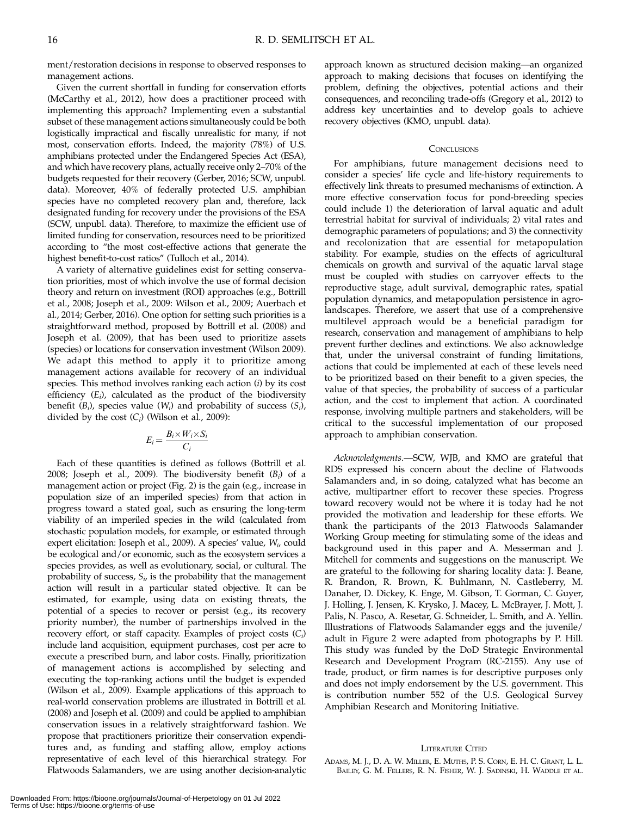ment/restoration decisions in response to observed responses to management actions.

Given the current shortfall in funding for conservation efforts (McCarthy et al., 2012), how does a practitioner proceed with implementing this approach? Implementing even a substantial subset of these management actions simultaneously could be both logistically impractical and fiscally unrealistic for many, if not most, conservation efforts. Indeed, the majority (78%) of U.S. amphibians protected under the Endangered Species Act (ESA), and which have recovery plans, actually receive only 2–70% of the budgets requested for their recovery (Gerber, 2016; SCW, unpubl. data). Moreover, 40% of federally protected U.S. amphibian species have no completed recovery plan and, therefore, lack designated funding for recovery under the provisions of the ESA (SCW, unpubl. data). Therefore, to maximize the efficient use of limited funding for conservation, resources need to be prioritized according to ''the most cost-effective actions that generate the highest benefit-to-cost ratios" (Tulloch et al., 2014).

A variety of alternative guidelines exist for setting conservation priorities, most of which involve the use of formal decision theory and return on investment (ROI) approaches (e.g., Bottrill et al., 2008; Joseph et al., 2009: Wilson et al., 2009; Auerbach et al., 2014; Gerber, 2016). One option for setting such priorities is a straightforward method, proposed by Bottrill et al. (2008) and Joseph et al. (2009), that has been used to prioritize assets (species) or locations for conservation investment (Wilson 2009). We adapt this method to apply it to prioritize among management actions available for recovery of an individual species. This method involves ranking each action (i) by its cost efficiency  $(E_i)$ , calculated as the product of the biodiversity benefit  $(B_i)$ , species value  $(W_i)$  and probability of success  $(S_i)$ , divided by the cost  $(C_i)$  (Wilson et al., 2009):

$$
E_i = \frac{B_i \times W_i \times S_i}{C_i}
$$

Each of these quantities is defined as follows (Bottrill et al. 2008; Joseph et al., 2009). The biodiversity benefit  $(B_i)$  of a management action or project (Fig. 2) is the gain (e.g., increase in population size of an imperiled species) from that action in progress toward a stated goal, such as ensuring the long-term viability of an imperiled species in the wild (calculated from stochastic population models, for example, or estimated through expert elicitation: Joseph et al., 2009). A species' value, W<sub>i</sub>, could be ecological and/or economic, such as the ecosystem services a species provides, as well as evolutionary, social, or cultural. The probability of success,  $S_i$ , is the probability that the management action will result in a particular stated objective. It can be estimated, for example, using data on existing threats, the potential of a species to recover or persist (e.g., its recovery priority number), the number of partnerships involved in the recovery effort, or staff capacity. Examples of project costs  $(C_i)$ include land acquisition, equipment purchases, cost per acre to execute a prescribed burn, and labor costs. Finally, prioritization of management actions is accomplished by selecting and executing the top-ranking actions until the budget is expended (Wilson et al., 2009). Example applications of this approach to real-world conservation problems are illustrated in Bottrill et al. (2008) and Joseph et al. (2009) and could be applied to amphibian conservation issues in a relatively straightforward fashion. We propose that practitioners prioritize their conservation expenditures and, as funding and staffing allow, employ actions representative of each level of this hierarchical strategy. For Flatwoods Salamanders, we are using another decision-analytic

approach known as structured decision making—an organized approach to making decisions that focuses on identifying the problem, defining the objectives, potential actions and their consequences, and reconciling trade-offs (Gregory et al., 2012) to address key uncertainties and to develop goals to achieve recovery objectives (KMO, unpubl. data).

#### **CONCLUSIONS**

For amphibians, future management decisions need to consider a species' life cycle and life-history requirements to effectively link threats to presumed mechanisms of extinction. A more effective conservation focus for pond-breeding species could include 1) the deterioration of larval aquatic and adult terrestrial habitat for survival of individuals; 2) vital rates and demographic parameters of populations; and 3) the connectivity and recolonization that are essential for metapopulation stability. For example, studies on the effects of agricultural chemicals on growth and survival of the aquatic larval stage must be coupled with studies on carryover effects to the reproductive stage, adult survival, demographic rates, spatial population dynamics, and metapopulation persistence in agrolandscapes. Therefore, we assert that use of a comprehensive multilevel approach would be a beneficial paradigm for research, conservation and management of amphibians to help prevent further declines and extinctions. We also acknowledge that, under the universal constraint of funding limitations, actions that could be implemented at each of these levels need to be prioritized based on their benefit to a given species, the value of that species, the probability of success of a particular action, and the cost to implement that action. A coordinated response, involving multiple partners and stakeholders, will be critical to the successful implementation of our proposed approach to amphibian conservation.

Acknowledgments.—SCW, WJB, and KMO are grateful that RDS expressed his concern about the decline of Flatwoods Salamanders and, in so doing, catalyzed what has become an active, multipartner effort to recover these species. Progress toward recovery would not be where it is today had he not provided the motivation and leadership for these efforts. We thank the participants of the 2013 Flatwoods Salamander Working Group meeting for stimulating some of the ideas and background used in this paper and A. Messerman and J. Mitchell for comments and suggestions on the manuscript. We are grateful to the following for sharing locality data: J. Beane, R. Brandon, R. Brown, K. Buhlmann, N. Castleberry, M. Danaher, D. Dickey, K. Enge, M. Gibson, T. Gorman, C. Guyer, J. Holling, J. Jensen, K. Krysko, J. Macey, L. McBrayer, J. Mott, J. Palis, N. Pasco, A. Resetar, G. Schneider, L. Smith, and A. Yellin. Illustrations of Flatwoods Salamander eggs and the juvenile/ adult in Figure 2 were adapted from photographs by P. Hill. This study was funded by the DoD Strategic Environmental Research and Development Program (RC-2155). Any use of trade, product, or firm names is for descriptive purposes only and does not imply endorsement by the U.S. government. This is contribution number 552 of the U.S. Geological Survey Amphibian Research and Monitoring Initiative.

#### LITERATURE CITED

ADAMS, M. J., D. A. W. MILLER, E. MUTHS, P. S. CORN, E. H. C. GRANT, L. L. BAILEY, G. M. FELLERS, R. N. FISHER, W. J. SADINSKI, H. WADDLE ET AL.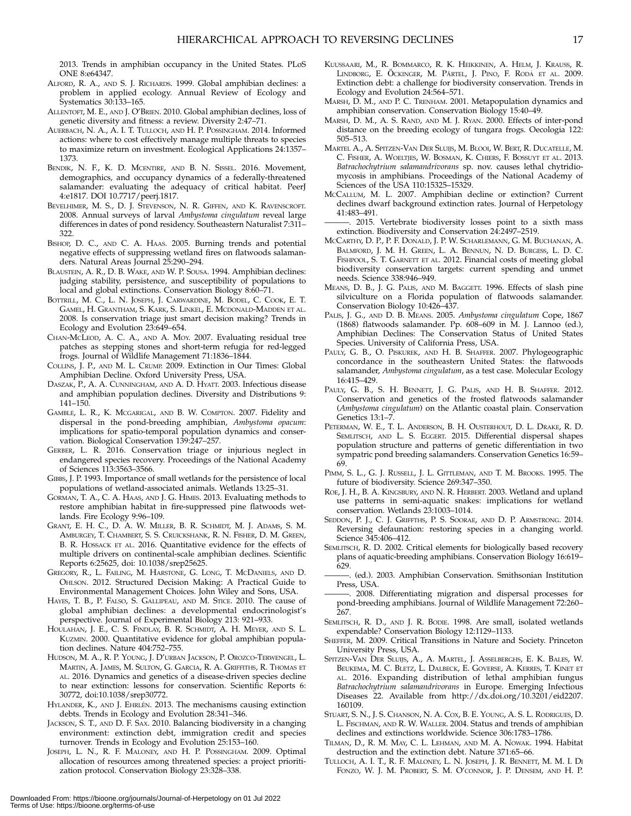2013. Trends in amphibian occupancy in the United States. PLoS ONE 8:e64347.

- ALFORD, R. A., AND S. J. RICHARDS. 1999. Global amphibian declines: a problem in applied ecology. Annual Review of Ecology and Systematics 30:133–165.
- ALLENTOFT, M. E., AND J. O'BRIEN. 2010. Global amphibian declines, loss of genetic diversity and fitness: a review. Diversity 2:47–71.
- AUERBACH, N. A., A. I. T. TULLOCH, AND H. P. POSSINGHAM. 2014. Informed actions: where to cost effectively manage multiple threats to species to maximize return on investment. Ecological Applications 24:1357– 1373.
- BENDIK, N. F., K. D. MCENTIRE, AND B. N. SISSEL. 2016. Movement, demographics, and occupancy dynamics of a federally-threatened salamander: evaluating the adequacy of critical habitat. PeerJ 4:e1817. DOI 10.7717/peerj.1817.
- BEVELHIMER, M. S., D. J. STEVENSON, N. R. GIFFEN, AND K. RAVENSCROFT. 2008. Annual surveys of larval Ambystoma cingulatum reveal large differences in dates of pond residency. Southeastern Naturalist 7:311– 322.
- BISHOP, D. C., AND C. A. HAAS. 2005. Burning trends and potential negative effects of suppressing wetland fires on flatwoods salamanders. Natural Areas Journal 25:290–294.
- BLAUSTEIN, A. R., D. B. WAKE, AND W. P. SOUSA. 1994. Amphibian declines: judging stability, persistence, and susceptibility of populations to local and global extinctions. Conservation Biology 8:60–71.
- BOTTRILL, M. C., L. N. JOSEPH, J. CARWARDINE, M. BODEL, C. COOK, E. T. GAMEL, H. GRANTHAM, S. KARK, S. LINKEL, E. MCDONALD-MADDEN ET AL. 2008. Is conservation triage just smart decision making? Trends in Ecology and Evolution 23:649–654.
- CHAN-MCLEOD, A. C. A., AND A. MOY. 2007. Evaluating residual tree patches as stepping stones and short-term refugia for red-legged frogs. Journal of Wildlife Management 71:1836–1844.
- COLLINS, J. P., AND M. L. CRUMP. 2009. Extinction in Our Times: Global Amphibian Decline. Oxford University Press, USA.
- DASZAK, P., A. A. CUNNINGHAM, AND A. D. HYATT. 2003. Infectious disease and amphibian population declines. Diversity and Distributions 9: 141–150.
- GAMBLE, L. R., K. MCGARIGAL, AND B. W. COMPTON. 2007. Fidelity and dispersal in the pond-breeding amphibian, Ambystoma opacum: implications for spatio-temporal population dynamics and conservation. Biological Conservation 139:247–257.
- GERBER, L. R. 2016. Conservation triage or injurious neglect in endangered species recovery. Proceedings of the National Academy of Sciences 113:3563–3566.
- GIBBS, J. P. 1993. Importance of small wetlands for the persistence of local populations of wetland-associated animals. Wetlands 13:25–31.
- GORMAN, T. A., C. A. HAAS, AND J. G. HIMES. 2013. Evaluating methods to restore amphibian habitat in fire-suppressed pine flatwoods wetlands. Fire Ecology 9:96–109.
- GRANT, E. H. C., D. A. W. MILLER, B. R. SCHMIDT, M. J. ADAMS, S. M. AMBURGEY, T. CHAMBERT, S. S. CRUICKSHANK, R. N. FISHER, D. M. GREEN, B. R. HOSSACK ET AL. 2016. Quantitative evidence for the effects of multiple drivers on continental-scale amphibian declines. Scientific Reports 6:25625, doi: 10.1038/srep25625.
- GREGORY, R., L. FAILING, M. HARSTONE, G. LONG, T. MCDANIELS, AND D. OHLSON. 2012. Structured Decision Making: A Practical Guide to Environmental Management Choices. John Wiley and Sons, USA.
- HAYES, T. B., P. FALSO, S. GALLIPEAU, AND M. STICE. 2010. The cause of global amphibian declines: a developmental endocrinologist's perspective. Journal of Experimental Biology 213: 921–933.
- HOULAHAN, J. E., C. S. FINDLAY, B. R. SCHMIDT, A. H. MEYER, AND S. L. KUZMIN. 2000. Quantitative evidence for global amphibian population declines. Nature 404:752–755.
- HUDSON, M. A., R. P. YOUNG, J. D'URBAN JACKSON, P. OROZCO-TERWENGEL, L. MARTIN, A. JAMES, M. SULTON, G. GARCIA, R. A. GRIFFITHS, R. THOMAS ET AL. 2016. Dynamics and genetics of a disease-driven species decline to near extinction: lessons for conservation. Scientific Reports 6: 30772, doi:10.1038/srep30772.
- HYLANDER, K., AND J. EHRLÉN. 2013. The mechanisms causing extinction debts. Trends in Ecology and Evolution 28:341–346.
- JACKSON, S. T., AND D. F. SAX. 2010. Balancing biodiversity in a changing environment: extinction debt, immigration credit and species turnover. Trends in Ecology and Evolution 25:153–160.
- JOSEPH, L. N., R. F. MALONEY, AND H. P. POSSINGHAM. 2009. Optimal allocation of resources among threatened species: a project prioritization protocol. Conservation Biology 23:328–338.
- KUUSSAARI, M., R. BOMMARCO, R. K. HEIKKINEN, A. HELM, J. KRAUSS, R. LINDBORG, E. ÖCKINGER, M. PÄRTEL, J. PINO, F. RODÀ ET AL. 2009. Extinction debt: a challenge for biodiversity conservation. Trends in Ecology and Evolution 24:564–571.
- MARSH, D. M., AND P. C. TRENHAM. 2001. Metapopulation dynamics and amphibian conservation. Conservation Biology 15:40–49.
- MARSH, D. M., A. S. RAND, AND M. J. RYAN. 2000. Effects of inter-pond distance on the breeding ecology of tungara frogs. Oecologia 122: 505–513.
- MARTEL A., A. SPITZEN-VAN DER SLUIJS, M. BLOOI, W. BERT, R. DUCATELLE, M. C. FISHER, A. WOELTJES, W. BOSMAN, K. CHIERS, F. BOSSUYT ET AL. 2013. Batrachochytrium salamandrivorans sp. nov. causes lethal chytridiomycosis in amphibians. Proceedings of the National Academy of Sciences of the USA 110:15325–15329.
- MCCALLUM, M. L. 2007. Amphibian decline or extinction? Current declines dwarf background extinction rates. Journal of Herpetology 41:483–491.
- 2015. Vertebrate biodiversity losses point to a sixth mass extinction. Biodiversity and Conservation 24:2497–2519.
- MCCARTHY, D. P., P. F. DONALD, J. P. W. SCHARLEMANN, G. M. BUCHANAN, A. BALMFORD, J. M. H. GREEN, L. A. BENNUN, N. D. BURGESS, L. D. C. FISHPOOL, S. T. GARNETT ET AL. 2012. Financial costs of meeting global biodiversity conservation targets: current spending and unmet needs. Science 338:946–949.
- MEANS, D. B., J. G. PALIS, AND M. BAGGETT. 1996. Effects of slash pine silviculture on a Florida population of flatwoods salamander. Conservation Biology 10:426–437.
- PALIS, J. G., AND D. B. MEANS. 2005. Ambystoma cingulatum Cope, 1867 (1868) flatwoods salamander. Pp. 608–609 in M. J. Lannoo (ed.), Amphibian Declines: The Conservation Status of United States Species. University of California Press, USA.
- PAULY, G. B., O. PISKUREK, AND H. B. SHAFFER. 2007. Phylogeographic concordance in the southeastern United States: the flatwoods salamander, Ambystoma cingulatum, as a test case. Molecular Ecology 16:415–429.
- PAULY, G. B., S. H. BENNETT, J. G. PALIS, AND H. B. SHAFFER. 2012. Conservation and genetics of the frosted flatwoods salamander (Ambystoma cingulatum) on the Atlantic coastal plain. Conservation Genetics 13:1–7.
- PETERMAN, W. E., T. L. ANDERSON, B. H. OUSTERHOUT, D. L. DRAKE, R. D. SEMLITSCH, AND L. S. EGGERT. 2015. Differential dispersal shapes population structure and patterns of genetic differentiation in two sympatric pond breeding salamanders. Conservation Genetics 16:59– 69.
- PIMM, S. L., G. J. RUSSELL, J. L. GITTLEMAN, AND T. M. BROOKS. 1995. The future of biodiversity. Science 269:347–350.
- ROE, J. H., B. A. KINGSBURY, AND N. R. HERBERT. 2003. Wetland and upland use patterns in semi-aquatic snakes: implications for wetland conservation. Wetlands 23:1003–1014.
- SEDDON, P. J., C. J. GRIFFTHS, P. S. SOORAE, AND D. P. ARMSTRONG. 2014. Reversing defaunation: restoring species in a changing world. Science 345:406–412.
- SEMLITSCH, R. D. 2002. Critical elements for biologically based recovery plans of aquatic-breeding amphibians. Conservation Biology 16:619–  $629.$
- ———. (ed.). 2003. Amphibian Conservation. Smithsonian Institution Press, USA.
- 2008. Differentiating migration and dispersal processes for pond-breeding amphibians. Journal of Wildlife Management 72:260– 267.
- SEMLITSCH, R. D., AND J. R. BODIE. 1998. Are small, isolated wetlands expendable? Conservation Biology 12:1129–1133.
- SHEFFER, M. 2009. Critical Transitions in Nature and Society. Princeton University Press, USA.
- SPITZEN-VAN DER SLUIJS, A., A. MARTEL, J. ASSELBERGHS, E. K. BALES, W. BEUKEMA, M. C. BLETZ, L. DALBECK, E. GOVERSE, A. KERRES, T. KINET ET AL. 2016. Expanding distribution of lethal amphibian fungus Batrachochytrium salamandrivorans in Europe. Emerging Infectious Diseases 22. Available from http://dx.doi.org/10.3201/eid2207. 160109.
- STUART, S. N., J. S. CHANSON, N. A. COX, B. E. YOUNG, A. S. L. RODRIGUES, D. L. FISCHMAN, AND R. W. WALLER. 2004. Status and trends of amphibian declines and extinctions worldwide. Science 306:1783–1786.
- TILMAN, D., R. M. MAY, C. L. LEHMAN, AND M. A. NOWAK. 1994. Habitat destruction and the extinction debt. Nature 371:65–66.
- TULLOCH, A. I. T., R. F. MALONEY, L. N. JOSEPH, J. R. BENNETT, M. M. I. DI FONZO, W. J. M. PROBERT, S. M. O'CONNOR, J. P. DENSEM, AND H. P.